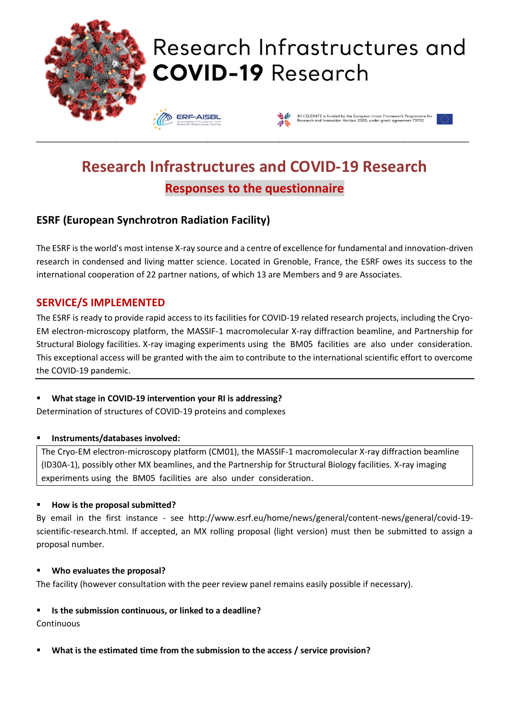

# Research Infrastructures and **COVID-19 Research**





# **Research Infrastructures and COVID-19 Research Responses to the questionnaire**

\_\_\_\_\_\_\_\_\_\_\_\_\_\_\_\_\_\_\_\_\_\_\_\_\_\_\_\_\_\_\_\_\_\_\_\_\_\_\_\_\_\_\_\_\_\_\_\_\_\_\_\_\_\_\_\_\_\_\_\_\_\_\_\_\_\_\_\_\_\_\_\_\_\_\_\_\_\_\_\_\_\_\_\_\_\_\_\_\_\_\_\_\_\_\_\_\_\_\_\_\_\_\_\_\_\_\_\_\_\_\_\_\_\_

# **ESRF (European Synchrotron Radiation Facility)**

The ESRF is the world's most intense X-ray source and a centre of excellence for fundamental and innovation-driven research in condensed and living matter science. Located in Grenoble, France, the ESRF owes its success to the international cooperation of 22 partner nations, of which 13 are Members and 9 are Associates.

### **SERVICE/S IMPLEMENTED**

The ESRF is ready to provide rapid access to its facilities for COVID-19 related research projects, including the Cryo-EM electron-microscopy platform, the MASSIF-1 macromolecular X-ray diffraction beamline, and Partnership for Structural Biology facilities. X-ray imaging experiments using the BM05 facilities are also under consideration. This exceptional access will be granted with the aim to contribute to the international scientific effort to overcome the COVID-19 pandemic.

#### What stage in COVID-19 intervention your RI is addressing?

Determination of structures of COVID-19 proteins and complexes

#### ▪ **Instruments/databases involved:**

The Cryo-EM electron-microscopy platform (CM01), the MASSIF-1 macromolecular X-ray diffraction beamline (ID30A-1), possibly other MX beamlines, and the Partnership for Structural Biology facilities. X-ray imaging experiments using the BM05 facilities are also under consideration.

#### ▪ **How is the proposal submitted?**

By email in the first instance - see http://www.esrf.eu/home/news/general/content-news/general/covid-19 scientific-research.html. If accepted, an MX rolling proposal (light version) must then be submitted to assign a proposal number.

#### ▪ **Who evaluates the proposal?**

The facility (however consultation with the peer review panel remains easily possible if necessary).

#### ▪ **Is the submission continuous, or linked to a deadline?**

**Continuous** 

▪ **What is the estimated time from the submission to the access / service provision?**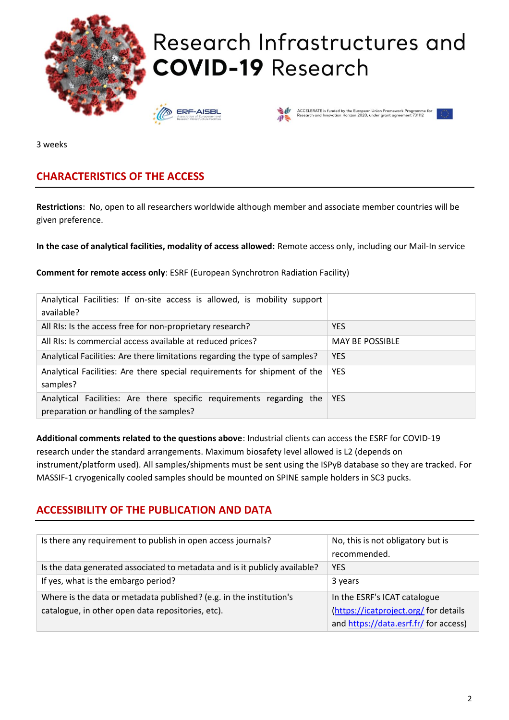

3 weeks

# **CHARACTERISTICS OF THE ACCESS**

**Restrictions**: No, open to all researchers worldwide although member and associate member countries will be given preference.

**In the case of analytical facilities, modality of access allowed:** Remote access only, including our Mail-In service

**Comment for remote access only**: ESRF (European Synchrotron Radiation Facility)

| Analytical Facilities: If on-site access is allowed, is mobility support<br>available?                          |                        |
|-----------------------------------------------------------------------------------------------------------------|------------------------|
| All RIs: Is the access free for non-proprietary research?                                                       | <b>YES</b>             |
| All RIs: Is commercial access available at reduced prices?                                                      | <b>MAY BE POSSIBLE</b> |
| Analytical Facilities: Are there limitations regarding the type of samples?                                     | <b>YES</b>             |
| Analytical Facilities: Are there special requirements for shipment of the<br>samples?                           | <b>YES</b>             |
| Analytical Facilities: Are there specific requirements regarding the<br>preparation or handling of the samples? | <b>YES</b>             |

**Additional comments related to the questions above**: Industrial clients can access the ESRF for COVID-19 research under the standard arrangements. Maximum biosafety level allowed is L2 (depends on instrument/platform used). All samples/shipments must be sent using the ISPyB database so they are tracked. For MASSIF-1 cryogenically cooled samples should be mounted on SPINE sample holders in SC3 pucks.

## **ACCESSIBILITY OF THE PUBLICATION AND DATA**

| Is there any requirement to publish in open access journals?               | No, this is not obligatory but is<br>recommended. |
|----------------------------------------------------------------------------|---------------------------------------------------|
| Is the data generated associated to metadata and is it publicly available? | <b>YES</b>                                        |
| If yes, what is the embargo period?                                        | 3 years                                           |
| Where is the data or metadata published? (e.g. in the institution's        | In the ESRF's ICAT catalogue                      |
| catalogue, in other open data repositories, etc).                          | (https://icatproject.org/ for details             |
|                                                                            | and https://data.esrf.fr/ for access)             |